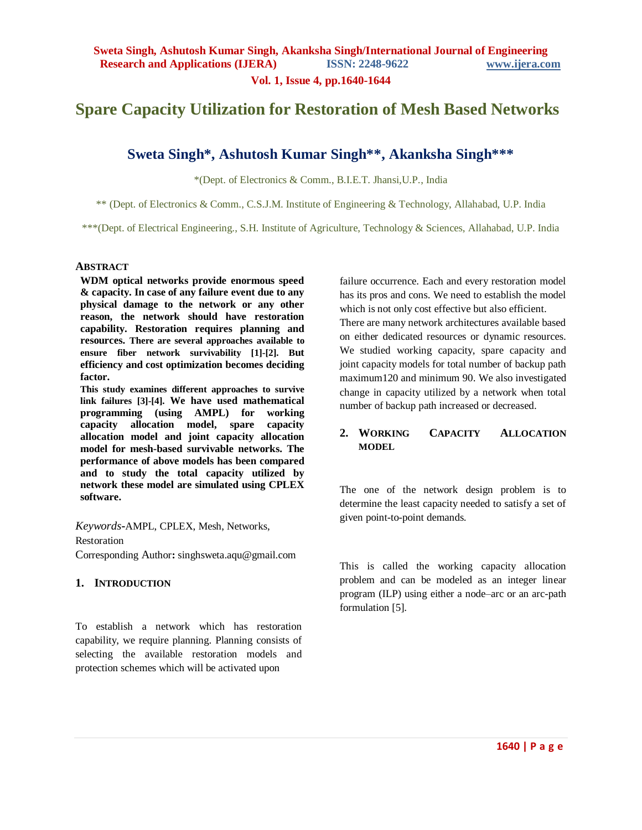**Vol. 1, Issue 4, pp.1640-1644**

# **Spare Capacity Utilization for Restoration of Mesh Based Networks**

# **Sweta Singh\*, Ashutosh Kumar Singh\*\*, Akanksha Singh\*\*\***

\*(Dept. of Electronics & Comm., B.I.E.T. Jhansi,U.P., India

\*\* (Dept. of Electronics & Comm., C.S.J.M. Institute of Engineering & Technology, Allahabad, U.P. India

\*\*\*(Dept. of Electrical Engineering., S.H. Institute of Agriculture, Technology & Sciences, Allahabad, U.P. India

#### **ABSTRACT**

**WDM optical networks provide enormous speed & capacity. In case of any failure event due to any physical damage to the network or any other reason, the network should have restoration capability. Restoration requires planning and resources. There are several approaches available to ensure fiber network survivability [1]-[2]. But efficiency and cost optimization becomes deciding factor.**

**This study examines different approaches to survive link failures [3]-[4]. We have used mathematical programming (using AMPL) for working capacity allocation model, spare capacity allocation model and joint capacity allocation model for mesh-based survivable networks. The performance of above models has been compared and to study the total capacity utilized by network these model are simulated using CPLEX software.**

*Keywords***-**AMPL, CPLEX, Mesh, Networks, Restoration Corresponding Author**:** singhsweta.aqu@gmail.com

### **1. INTRODUCTION**

To establish a network which has restoration capability, we require planning. Planning consists of selecting the available restoration models and protection schemes which will be activated upon

failure occurrence. Each and every restoration model has its pros and cons. We need to establish the model which is not only cost effective but also efficient. There are many network architectures available based on either dedicated resources or dynamic resources. We studied working capacity, spare capacity and joint capacity models for total number of backup path maximum120 and minimum 90. We also investigated change in capacity utilized by a network when total number of backup path increased or decreased.

## **2. WORKING CAPACITY ALLOCATION MODEL**

The one of the network design problem is to determine the least capacity needed to satisfy a set of given point-to-point demands.

This is called the working capacity allocation problem and can be modeled as an integer linear program (ILP) using either a node–arc or an arc-path formulation [5].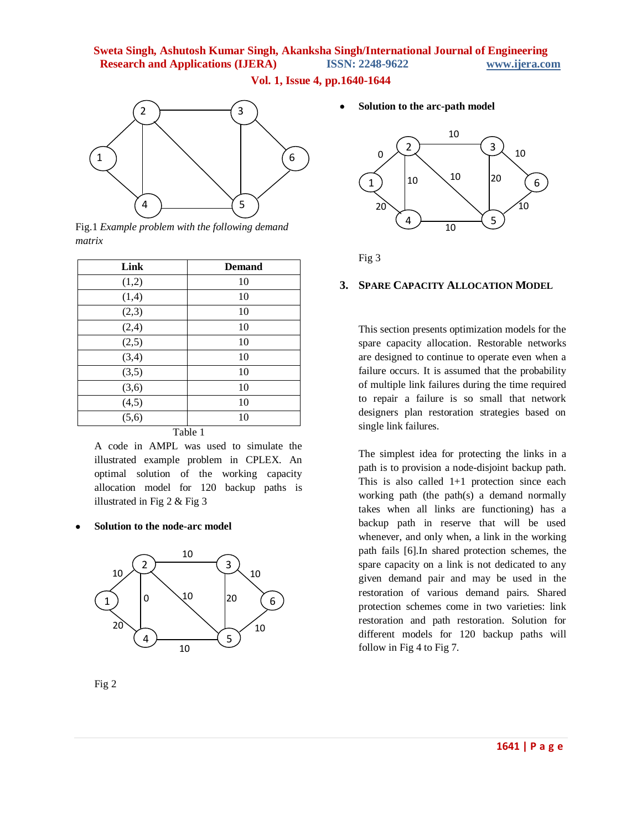**Vol. 1, Issue 4, pp.1640-1644**



Fig.1 *Example problem with the following demand matrix*

| Link                  | <b>Demand</b> |
|-----------------------|---------------|
| (1,2)                 | 10            |
| (1,4)                 | 10            |
| (2,3)                 | 10            |
| (2,4)                 | 10            |
| (2,5)                 | 10            |
| (3,4)                 | 10            |
| (3,5)                 | 10            |
| (3,6)                 | 10            |
| $\frac{(4,5)}{(5,6)}$ | 10            |
|                       | 10            |
|                       | Table 1       |

A code in AMPL was used to simulate the illustrated example problem in CPLEX. An optimal solution of the working capacity allocation model for 120 backup paths is illustrated in Fig 2 & Fig 3

**Solution to the node-arc model**



Fig 2

**Solution to the arc-path model**



Fig 3

### **3. SPARE CAPACITY ALLOCATION MODEL**

This section presents optimization models for the spare capacity allocation. Restorable networks are designed to continue to operate even when a failure occurs. It is assumed that the probability of multiple link failures during the time required to repair a failure is so small that network designers plan restoration strategies based on single link failures.

The simplest idea for protecting the links in a path is to provision a node-disjoint backup path. This is also called 1+1 protection since each working path (the path(s) a demand normally takes when all links are functioning) has a backup path in reserve that will be used whenever, and only when, a link in the working path fails [6].In shared protection schemes, the spare capacity on a link is not dedicated to any given demand pair and may be used in the restoration of various demand pairs. Shared protection schemes come in two varieties: link restoration and path restoration. Solution for different models for 120 backup paths will follow in Fig 4 to Fig 7.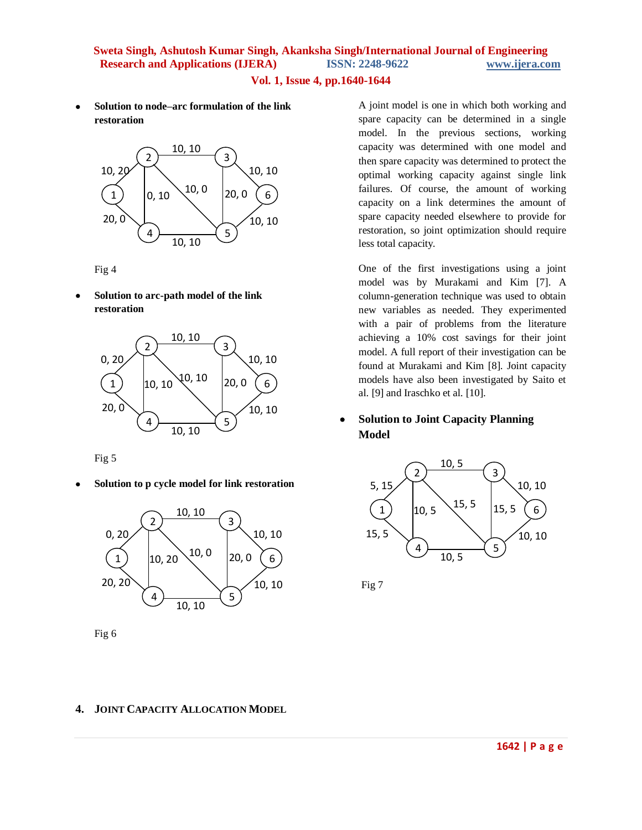## **Vol. 1, Issue 4, pp.1640-1644**

 **Solution to node–arc formulation of the link restoration**



Fig 4

 **Solution to arc-path model of the link restoration**



Fig 5

**Solution to p cycle model for link restoration**



Fig 6

A joint model is one in which both working and spare capacity can be determined in a single model. In the previous sections, working capacity was determined with one model and then spare capacity was determined to protect the optimal working capacity against single link failures. Of course, the amount of working capacity on a link determines the amount of spare capacity needed elsewhere to provide for restoration, so joint optimization should require less total capacity.

One of the first investigations using a joint model was by Murakami and Kim [7]. A column-generation technique was used to obtain new variables as needed. They experimented with a pair of problems from the literature achieving a 10% cost savings for their joint model. A full report of their investigation can be found at Murakami and Kim [8]. Joint capacity models have also been investigated by Saito et al. [9] and Iraschko et al. [10].

## **Solution to Joint Capacity Planning Model**



Fig 7

## **4. JOINT CAPACITY ALLOCATION MODEL**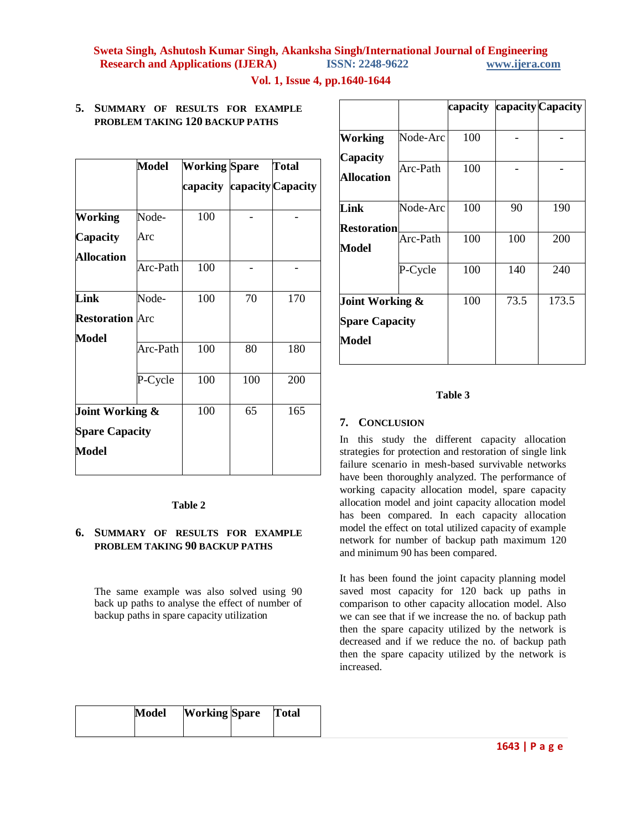## **Vol. 1, Issue 4, pp.1640-1644**

## **5. SUMMARY OF RESULTS FOR EXAMPLE PROBLEM TAKING 120 BACKUP PATHS**

|                        | Model    | <b>Working Spare</b> |     | Total                      |
|------------------------|----------|----------------------|-----|----------------------------|
|                        |          |                      |     | capacity capacity Capacity |
| Working                | Node-    | 100                  |     |                            |
| Capacity               | Arc      |                      |     |                            |
| <b>Allocation</b>      |          |                      |     |                            |
|                        | Arc-Path | 100                  |     |                            |
| Link                   | Node-    | 100                  | 70  | 170                        |
| <b>Restoration</b> Arc |          |                      |     |                            |
| Model                  |          |                      |     |                            |
|                        | Arc-Path | 100                  | 80  | 180                        |
|                        | P-Cycle  | 100                  | 100 | 200                        |
| Joint Working &        |          | 100                  | 65  | 165                        |
| <b>Spare Capacity</b>  |          |                      |     |                            |
| Model                  |          |                      |     |                            |
|                        |          |                      |     |                            |

**Table 2**

**6. SUMMARY OF RESULTS FOR EXAMPLE PROBLEM TAKING 90 BACKUP PATHS**

The same example was also solved using 90 back up paths to analyse the effect of number of

backup paths in spare capacity utilization

|                            |          |     |      | capacity capacity Capacity |
|----------------------------|----------|-----|------|----------------------------|
| Working<br>Capacity        | Node-Arc | 100 |      |                            |
| Allocation                 | Arc-Path | 100 |      |                            |
| Link<br><b>Restoration</b> | Node-Arc | 100 | 90   | 190                        |
| Model                      | Arc-Path | 100 | 100  | 200                        |
|                            | P-Cycle  | 100 | 140  | 240                        |
| Joint Working &            |          | 100 | 73.5 | 173.5                      |
| <b>Spare Capacity</b>      |          |     |      |                            |
| Model                      |          |     |      |                            |

#### **Table 3**

#### **7. CONCLUSION**

In this study the different capacity allocation strategies for protection and restoration of single link failure scenario in mesh-based survivable networks have been thoroughly analyzed. The performance of working capacity allocation model, spare capacity allocation model and joint capacity allocation model has been compared. In each capacity allocation model the effect on total utilized capacity of example network for number of backup path maximum 120 and minimum 90 has been compared.

It has been found the joint capacity planning model saved most capacity for 120 back up paths in comparison to other capacity allocation model. Also we can see that if we increase the no. of backup path then the spare capacity utilized by the network is decreased and if we reduce the no. of backup path then the spare capacity utilized by the network is increased.

| Model | <b>Working Spare</b> Total |  |
|-------|----------------------------|--|
|       |                            |  |